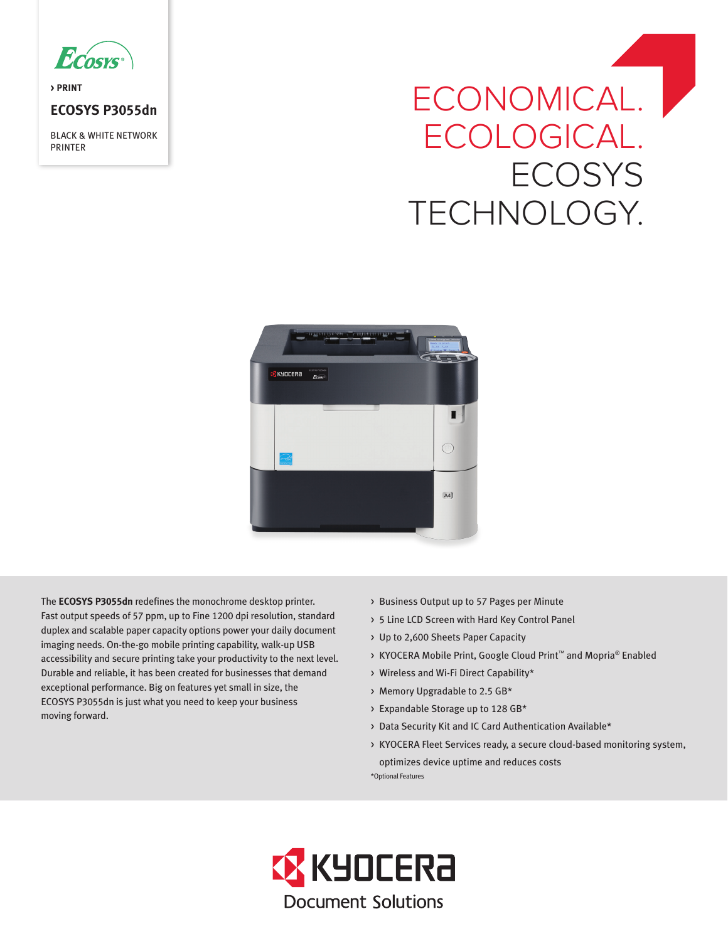

**> PRINT**

# **ECOSYS P3055dn**

BLACK & WHITE NETWORK PRINTER

# ECONOMICAL. ECOLOGICAL. **ECOSYS** TECHNOLOGY.



The **ECOSYS P3055dn** redefines the monochrome desktop printer. Fast output speeds of 57 ppm, up to Fine 1200 dpi resolution, standard duplex and scalable paper capacity options power your daily document imaging needs. On-the-go mobile printing capability, walk-up USB accessibility and secure printing take your productivity to the next level. Durable and reliable, it has been created for businesses that demand exceptional performance. Big on features yet small in size, the ECOSYS P3055dn is just what you need to keep your business moving forward.

- > Business Output up to 57 Pages per Minute
- > 5 Line LCD Screen with Hard Key Control Panel
- > Up to 2,600 Sheets Paper Capacity
- > KYOCERA Mobile Print, Google Cloud Print™ and Mopria® Enabled
- > Wireless and Wi-Fi Direct Capability\*
- > Memory Upgradable to 2.5 GB\*
- > Expandable Storage up to 128 GB\*
- > Data Security Kit and IC Card Authentication Available\*
- > KYOCERA Fleet Services ready, a secure cloud-based monitoring system, optimizes device uptime and reduces costs \*Optional Features